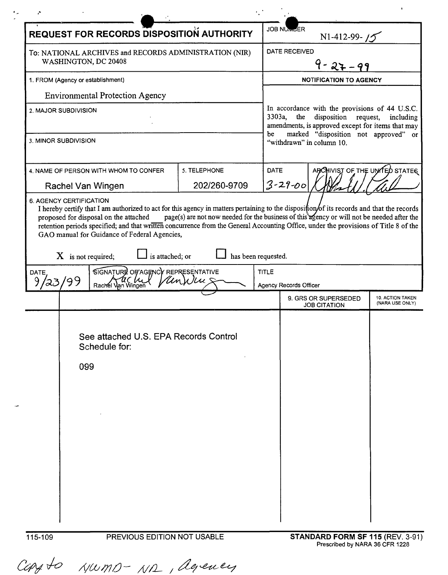| <b>REQUEST FOR RECORDS DISPOSITION AUTHORITY</b>                                                                                                                                                                                                                                                                                                                                                                                                                                                                                                                      |              | <b>JOB NUMLER</b>                                                                                                                                                                                                                    | N1-412-99- $15$                             |                                     |  |  |
|-----------------------------------------------------------------------------------------------------------------------------------------------------------------------------------------------------------------------------------------------------------------------------------------------------------------------------------------------------------------------------------------------------------------------------------------------------------------------------------------------------------------------------------------------------------------------|--------------|--------------------------------------------------------------------------------------------------------------------------------------------------------------------------------------------------------------------------------------|---------------------------------------------|-------------------------------------|--|--|
| To: NATIONAL ARCHIVES and RECORDS ADMINISTRATION (NIR)<br>WASHINGTON, DC 20408                                                                                                                                                                                                                                                                                                                                                                                                                                                                                        |              | <b>DATE RECEIVED</b>                                                                                                                                                                                                                 |                                             |                                     |  |  |
| 1. FROM (Agency or establishment)                                                                                                                                                                                                                                                                                                                                                                                                                                                                                                                                     |              | <b>NOTIFICATION TO AGENCY</b>                                                                                                                                                                                                        |                                             |                                     |  |  |
| <b>Environmental Protection Agency</b>                                                                                                                                                                                                                                                                                                                                                                                                                                                                                                                                |              |                                                                                                                                                                                                                                      |                                             |                                     |  |  |
| 2. MAJOR SUBDIVISION                                                                                                                                                                                                                                                                                                                                                                                                                                                                                                                                                  |              | In accordance with the provisions of 44 U.S.C.<br>3303a,<br>the<br>disposition request,<br>including<br>amendments, is approved except for items that may<br>marked "disposition not approved" or<br>be<br>"withdrawn" in column 10. |                                             |                                     |  |  |
| 3. MINOR SUBDIVISION                                                                                                                                                                                                                                                                                                                                                                                                                                                                                                                                                  |              |                                                                                                                                                                                                                                      |                                             |                                     |  |  |
| 4. NAME OF PERSON WITH WHOM TO CONFER                                                                                                                                                                                                                                                                                                                                                                                                                                                                                                                                 | 5. TELEPHONE | DATE                                                                                                                                                                                                                                 | ARCHIVIST OF THE UNITED STATES              |                                     |  |  |
| Rachel Van Wingen                                                                                                                                                                                                                                                                                                                                                                                                                                                                                                                                                     | 202/260-9709 | $3 - 29 - 00$                                                                                                                                                                                                                        |                                             |                                     |  |  |
| 6. AGENCY CERTIFICATION<br>I hereby certify that I am authorized to act for this agency in matters pertaining to the disposition/of its records and that the records<br>page(s) are not now needed for the business of this agency or will not be needed after the<br>proposed for disposal on the attached<br>retention periods specified; and that written concurrence from the General Accounting Office, under the provisions of Title 8 of the<br>GAO manual for Guidance of Federal Agencies,<br>has been requested.<br>is attached; or<br>$X$ is not required; |              |                                                                                                                                                                                                                                      |                                             |                                     |  |  |
| SIGNATURE OF AGENCY REPRESENTATIVE<br>DATE                                                                                                                                                                                                                                                                                                                                                                                                                                                                                                                            |              | <b>TITLE</b>                                                                                                                                                                                                                         |                                             |                                     |  |  |
| Rachel Van Wingen                                                                                                                                                                                                                                                                                                                                                                                                                                                                                                                                                     | Unklu        | <b>Agency Records Officer</b>                                                                                                                                                                                                        |                                             |                                     |  |  |
|                                                                                                                                                                                                                                                                                                                                                                                                                                                                                                                                                                       |              |                                                                                                                                                                                                                                      | 9. GRS OR SUPERSEDED<br><b>JOB CITATION</b> | 10. ACTION TAKEN<br>(NARA USE ONLY) |  |  |
| See attached U.S. EPA Records Control<br>Schedule for:<br>099                                                                                                                                                                                                                                                                                                                                                                                                                                                                                                         |              |                                                                                                                                                                                                                                      |                                             |                                     |  |  |

 $\mathcal{L}^{(1)}$  .

,"

 $\ddot{\phantom{1}}$ 

 $\epsilon_{\rm in}$ 

Carsto Numo-NR, agency

115-109 PREVIOUS EDITION NOT USABLE **STANDARD FORM SF 115** (REV. 3-91) Prescribed by NARA 36 CFR 1228

 $\begin{tabular}{ll} \bf{1.13}\end{tabular}$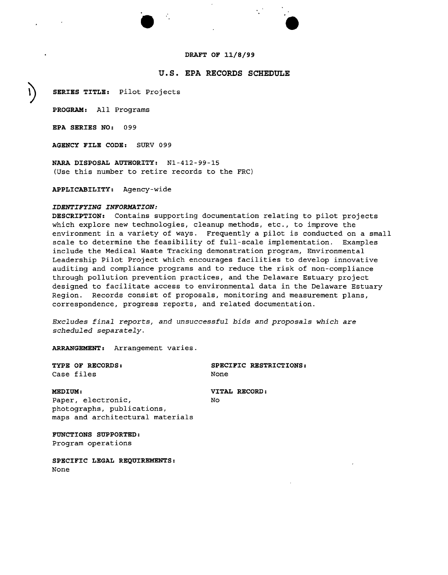## **DRAFT OF 11/8/99**

# **u.s. EPA RECORDS SCHEDULE**

•<br>●

**~ SERIES TITLE:** pilot Projects

**PROGRAM:** All Programs

**EPA SERIES NO:** 099

**AGENCY FILE CODE:** SURV 099

**NARA DISPOSAL AUTHORITY:** Nl-412-99-1S (Use this number to retire records to the FRC)

**APPLICABILITY:** Agency-wide

# *IDENTIFYING INFORMATION:*

**DESCRIPTION:** Contains supporting documentation relating to pilot projects which explore new technologies, cleanup methods, etc., to improve the environment in a variety of ways. Frequently a pilot is conducted on a small scale to determine the feasibility of full-scale implementation. Examples include the Medical Waste Tracking demonstration program, Environmental Leadership pilot Project which encourages facilities to develop innovative auditing and compliance programs and to reduce the risk of non-compliance through pollution prevention practices, and the Delaware Estuary project designed to facilitate access to environmental data in the Delaware Estuary Region. Records consist of proposals, monitoring and measurement plans, correspondence, progress reports, and related documentation.

*Excludes final reports, and unsuccessful bids and proposals which are scheduled separately.*

**ARRANGEMENT:** Arrangement varies.

**TYPE OF RECORDS:** Case files

**SPECIFIC RESTRICTIONS:** None

**MEDIUM:**

**VITAL RECORD:**  $N<sub>O</sub>$ 

Paper, electronic, photographs, publications, maps and architectural materials

**FUNCTIONS SUPPORTED:** Program operations

**SPECIFIC LEGAL REQUIREMENTS:** None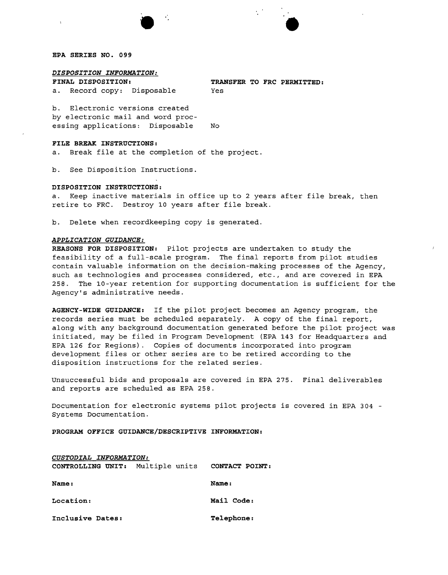#### **EPA SERIES NO. 099**

## *DISPOSITION INFORMATION:*

**FINAL DISPOSITION: a.** Record copy: Disposable **TRANSFER TO FRC PERMITTED:**

b. Electronic versions created by electronic mail and word processing applications: Disposable No

### **FILE BREAK INSTRUCTIONS:**

a. Break file at the completion of the project.

b. See Disposition Instructions.

#### **DISPOSITION INSTRUCTIONS:**

a. Keep inactive materials in office up to 2 years after file break, then retire to FRC. Destroy 10 years after file break.

Yes

b. Delete when recordkeeping copy is generated.

#### *APPLICATION GUIDANCE:*

**REASONS FOR DISPOSITION:** pilot projects are undertaken to study the feasibility of a full-scale program. The final reports from pilot studies contain valuable information on the decision-making processes of the Agency, such as technologies and processes considered, etc., and are covered in EPA 258. The 10-year retention for supporting documentation is sufficient for the Agency's administrative needs.

**AGENCY-WIDE GUIDANCE:** If the pilot project becomes an Agency program, the records series must be scheduled separately. A copy of the final report, along with any background documentation generated before the pilot project was initiated, may be filed in Program Development (EPA 143 for Headquarters and EPA 126 for Regions). Copies of documents incorporated into program development files or other series are to be retired according to the disposition instructions for the related series.

Unsuccessful bids and proposals are covered in EPA 275. Final deliverables and reports are scheduled as EPA 258.

Documentation for electronic systems pilot projects is covered in EPA 304 - Systems Documentation.

**PROGRAM OFFICE GUIDANCE/DESCRIPTIVE INFORMATION:**

| CUSTODIAL INFORMATION:           |                |
|----------------------------------|----------------|
| CONTROLLING UNIT: Multiple units | CONTACT POINT: |
| Name:                            | Name:          |
| Location:                        | Mail Code:     |
| Inclusive Dates:                 | Telephone:     |